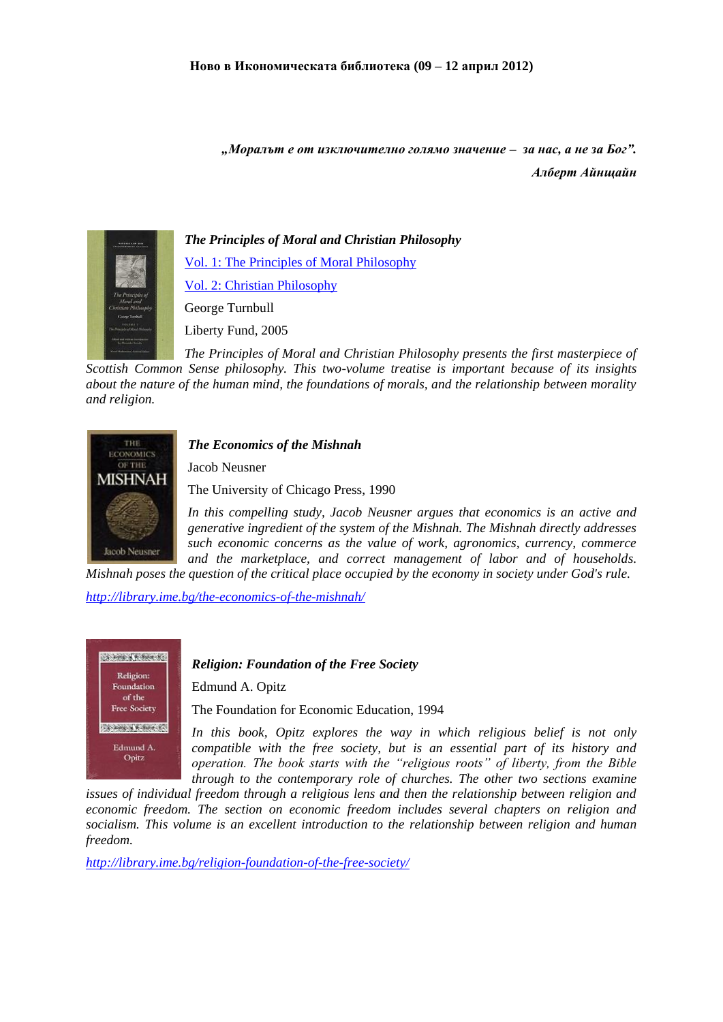*"Моралът е от изключително голямо значение – за нас, а не за Бог". Алберт Айнщайн*



*The Principles of Moral and Christian Philosophy* [Vol. 1: The Principles of Moral Philosophy](http://library.ime.bg/the-principles-of-moral-and-christian-philosophy/)  [Vol. 2: Christian Philosophy](http://library.ime.bg/the-principles-of-moral-and-christian-philosophy-1/)  George Turnbull Liberty Fund, 2005

*The Principles of Moral and Christian Philosophy presents the first masterpiece of Scottish Common Sense philosophy. This two-volume treatise is important because of its insights about the nature of the human mind, the foundations of morals, and the relationship between morality and religion.*



*The Economics of the Mishnah*

Jacob Neusner

The University of Chicago Press, 1990

*In this compelling study, Jacob Neusner argues that economics is an active and generative ingredient of the system of the Mishnah. The Mishnah directly addresses such economic concerns as the value of work, agronomics, currency, commerce and the marketplace, and correct management of labor and of households.* 

*Mishnah poses the question of the critical place occupied by the economy in society under God's rule.* 

*<http://library.ime.bg/the-economics-of-the-mishnah/>*



*Religion: Foundation of the Free Society*

Edmund A. Opitz

The Foundation for Economic Education, 1994

In this book, Opitz explores the way in which religious belief is not only *compatible with the free society, but is an essential part of its history and operation. The book starts with the "religious roots" of liberty, from the Bible through to the contemporary role of churches. The other two sections examine* 

*issues of individual freedom through a religious lens and then the relationship between religion and economic freedom. The section on economic freedom includes several chapters on religion and socialism. This volume is an excellent introduction to the relationship between religion and human freedom.*

*<http://library.ime.bg/religion-foundation-of-the-free-society/>*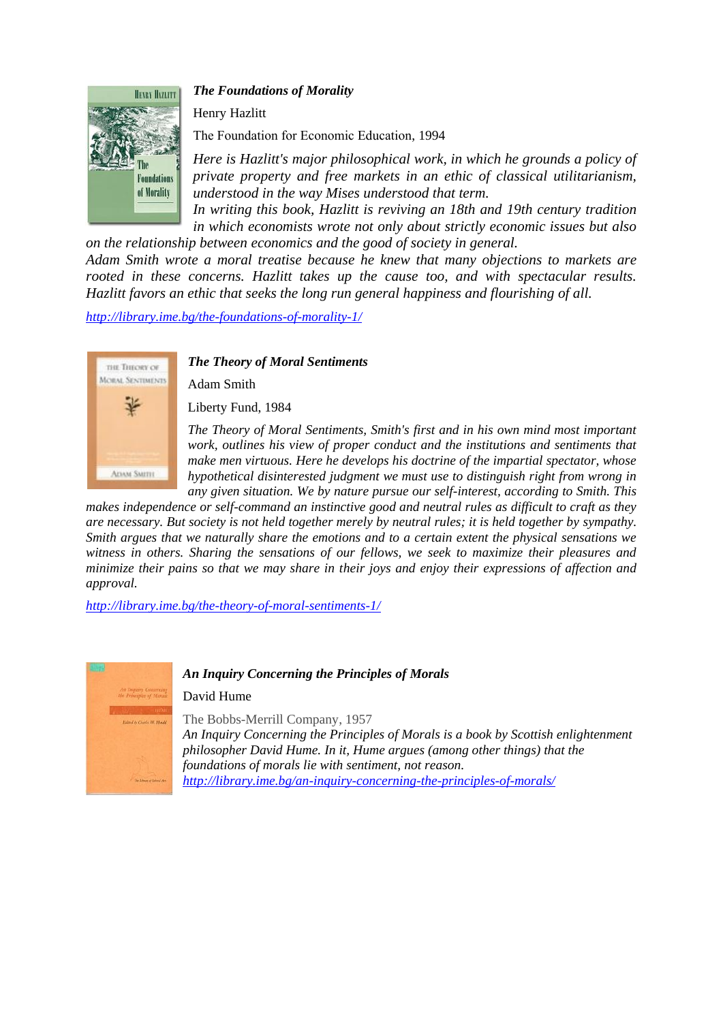## *The Foundations of Morality*



Henry Hazlitt

Тhe Foundation for Economic Education, 1994

*Here is Hazlitt's major philosophical work, in which he grounds a policy of private property and free markets in an ethic of classical utilitarianism, understood in the way Mises understood that term.* 

*In writing this book, Hazlitt is reviving an 18th and 19th century tradition in which economists wrote not only about strictly economic issues but also on the relationship between economics and the good of society in general.* 

*Adam Smith wrote a moral treatise because he knew that many objections to markets are rooted in these concerns. Hazlitt takes up the cause too, and with spectacular results. Hazlitt favors an ethic that seeks the long run general happiness and flourishing of all.* 

*<http://library.ime.bg/the-foundations-of-morality-1/>*



*The Theory of Moral Sentiments* Adam Smith

Liberty Fund, 1984

*The Theory of Moral Sentiments, Smith's first and in his own mind most important work, outlines his view of proper conduct and the institutions and sentiments that make men virtuous. Here he develops his doctrine of the impartial spectator, whose hypothetical disinterested judgment we must use to distinguish right from wrong in any given situation. We by nature pursue our self-interest, according to Smith. This* 

*makes independence or self-command an instinctive good and neutral rules as difficult to craft as they are necessary. But society is not held together merely by neutral rules; it is held together by sympathy. Smith argues that we naturally share the emotions and to a certain extent the physical sensations we witness in others. Sharing the sensations of our fellows, we seek to maximize their pleasures and minimize their pains so that we may share in their joys and enjoy their expressions of affection and approval.*

*<http://library.ime.bg/the-theory-of-moral-sentiments-1/>*



## *An Inquiry Concerning the Principles of Morals*

## David Hume

The Bobbs-Merrill Company, 1957 *An Inquiry Concerning the Principles of Morals is a book by Scottish enlightenment philosopher David Hume. In it, Hume argues (among other things) that the foundations of morals lie with sentiment, not reason. <http://library.ime.bg/an-inquiry-concerning-the-principles-of-morals/>*